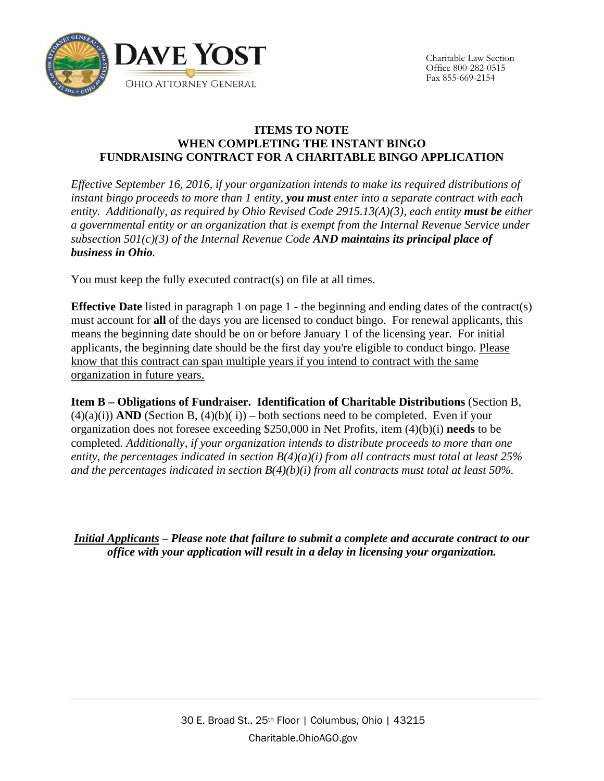

# **ITEMS TO NOTE WHEN COMPLETING THE INSTANT BINGO FUNDRAISING CONTRACT FOR A CHARITABLE BINGO APPLICATION**

*Effective September 16, 2016, if your organization intends to make its required distributions of instant bingo proceeds to more than 1 entity, you must enter into a separate contract with each entity. Additionally, as required by Ohio Revised Code 2915.13(A)(3), each entity must be either a governmental entity or an organization that is exempt from the Internal Revenue Service under subsection 501(c)(3) of the Internal Revenue Code AND maintains its principal place of business in Ohio.*

You must keep the fully executed contract(s) on file at all times.

**Effective Date** listed in paragraph 1 on page 1 - the beginning and ending dates of the contract(s) must account for **all** of the days you are licensed to conduct bingo. For renewal applicants, this means the beginning date should be on or before January 1 of the licensing year. For initial applicants, the beginning date should be the first day you're eligible to conduct bingo. Please know that this contract can span multiple years if you intend to contract with the same organization in future years.

**Item B – Obligations of Fundraiser. Identification of Charitable Distributions** (Section B,  $(4)(a)(i)$  **AND** (Section B,  $(4)(b)(i)$ ) – both sections need to be completed. Even if your organization does not foresee exceeding \$250,000 in Net Profits, item (4)(b)(i) **needs** to be completed*. Additionally, if your organization intends to distribute proceeds to more than one entity, the percentages indicated in section B(4)(a)(i) from all contracts must total at least 25% and the percentages indicated in section B(4)(b)(i) from all contracts must total at least 50%.*

*Initial Applicants – Please note that failure to submit a complete and accurate contract to our office with your application will result in a delay in licensing your organization.*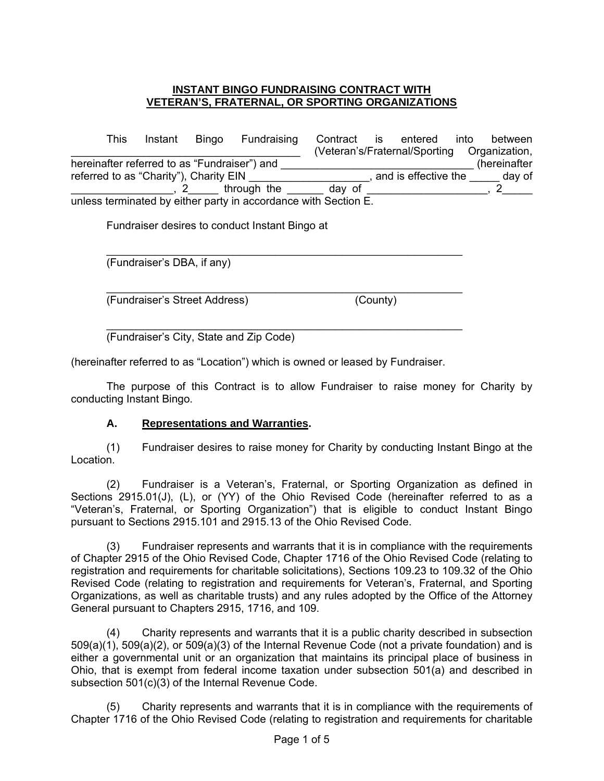#### **INSTANT BINGO FUNDRAISING CONTRACT WITH VETERAN'S, FRATERNAL, OR SPORTING ORGANIZATIONS**

This Instant Bingo Fundraising Contract is entered into between \_\_\_\_\_\_\_\_\_\_\_\_\_\_\_\_\_\_\_\_\_\_\_\_\_\_\_\_\_\_\_\_\_\_\_\_\_\_ (Veteran's/Fraternal/Sporting Organization, hereinafter referred to as "Fundraiser") and \_\_\_\_\_\_\_\_\_\_\_\_\_\_\_\_\_\_\_\_\_\_\_\_\_\_\_\_\_\_\_\_ (hereinafter referred to as "Charity"), Charity EIN \_\_\_\_\_\_\_\_\_\_\_\_\_\_\_\_\_\_\_\_, and is effective the \_\_\_\_\_ day of \_\_\_\_\_\_\_\_\_\_\_\_\_\_\_\_\_\_\_\_\_\_, 2\_\_\_\_\_\_\_ through the \_\_\_\_\_\_\_\_ day of \_\_\_\_\_\_\_\_\_\_\_\_\_\_\_\_\_\_\_\_, 2\_\_\_\_\_\_ unless terminated by either party in accordance with Section E.

\_\_\_\_\_\_\_\_\_\_\_\_\_\_\_\_\_\_\_\_\_\_\_\_\_\_\_\_\_\_\_\_\_\_\_\_\_\_\_\_\_\_\_\_\_\_\_\_\_\_\_\_\_\_\_\_\_\_\_

Fundraiser desires to conduct Instant Bingo at

(Fundraiser's DBA, if any)

\_\_\_\_\_\_\_\_\_\_\_\_\_\_\_\_\_\_\_\_\_\_\_\_\_\_\_\_\_\_\_\_\_\_\_\_\_\_\_\_\_\_\_\_\_\_\_\_\_\_\_\_\_\_\_\_\_\_\_ (Fundraiser's Street Address) (County)

\_\_\_\_\_\_\_\_\_\_\_\_\_\_\_\_\_\_\_\_\_\_\_\_\_\_\_\_\_\_\_\_\_\_\_\_\_\_\_\_\_\_\_\_\_\_\_\_\_\_\_\_\_\_\_\_\_\_\_ (Fundraiser's City, State and Zip Code)

(hereinafter referred to as "Location") which is owned or leased by Fundraiser.

The purpose of this Contract is to allow Fundraiser to raise money for Charity by conducting Instant Bingo.

#### **A. Representations and Warranties.**

(1) Fundraiser desires to raise money for Charity by conducting Instant Bingo at the Location.

(2) Fundraiser is a Veteran's, Fraternal, or Sporting Organization as defined in Sections 2915.01(J), (L), or (YY) of the Ohio Revised Code (hereinafter referred to as a "Veteran's, Fraternal, or Sporting Organization") that is eligible to conduct Instant Bingo pursuant to Sections 2915.101 and 2915.13 of the Ohio Revised Code.

(3) Fundraiser represents and warrants that it is in compliance with the requirements of Chapter 2915 of the Ohio Revised Code, Chapter 1716 of the Ohio Revised Code (relating to registration and requirements for charitable solicitations), Sections 109.23 to 109.32 of the Ohio Revised Code (relating to registration and requirements for Veteran's, Fraternal, and Sporting Organizations, as well as charitable trusts) and any rules adopted by the Office of the Attorney General pursuant to Chapters 2915, 1716, and 109.

(4) Charity represents and warrants that it is a public charity described in subsection 509(a)(1), 509(a)(2), or 509(a)(3) of the Internal Revenue Code (not a private foundation) and is either a governmental unit or an organization that maintains its principal place of business in Ohio, that is exempt from federal income taxation under subsection 501(a) and described in subsection 501(c)(3) of the Internal Revenue Code.

(5) Charity represents and warrants that it is in compliance with the requirements of Chapter 1716 of the Ohio Revised Code (relating to registration and requirements for charitable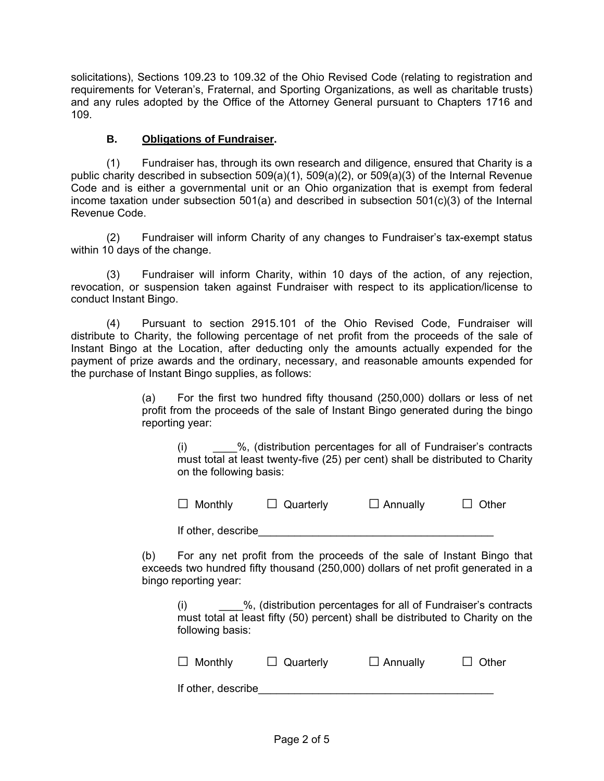solicitations), Sections 109.23 to 109.32 of the Ohio Revised Code (relating to registration and requirements for Veteran's, Fraternal, and Sporting Organizations, as well as charitable trusts) and any rules adopted by the Office of the Attorney General pursuant to Chapters 1716 and 109.

# **B. Obligations of Fundraiser.**

(1) Fundraiser has, through its own research and diligence, ensured that Charity is a public charity described in subsection 509(a)(1), 509(a)(2), or 509(a)(3) of the Internal Revenue Code and is either a governmental unit or an Ohio organization that is exempt from federal income taxation under subsection 501(a) and described in subsection 501(c)(3) of the Internal Revenue Code.

(2) Fundraiser will inform Charity of any changes to Fundraiser's tax-exempt status within 10 days of the change.

(3) Fundraiser will inform Charity, within 10 days of the action, of any rejection, revocation, or suspension taken against Fundraiser with respect to its application/license to conduct Instant Bingo.

(4) Pursuant to section 2915.101 of the Ohio Revised Code, Fundraiser will distribute to Charity, the following percentage of net profit from the proceeds of the sale of Instant Bingo at the Location, after deducting only the amounts actually expended for the payment of prize awards and the ordinary, necessary, and reasonable amounts expended for the purchase of Instant Bingo supplies, as follows:

> (a) For the first two hundred fifty thousand (250,000) dollars or less of net profit from the proceeds of the sale of Instant Bingo generated during the bingo reporting year:

(i) \_\_\_\_%, (distribution percentages for all of Fundraiser's contracts must total at least twenty-five (25) per cent) shall be distributed to Charity on the following basis:

| $\Box$ Monthly<br>$\Box$ Annually<br>$\Box$ Quarterly |  |  |  | $\Box$ Other |
|-------------------------------------------------------|--|--|--|--------------|
|-------------------------------------------------------|--|--|--|--------------|

If other, describe

(b) For any net profit from the proceeds of the sale of Instant Bingo that exceeds two hundred fifty thousand (250,000) dollars of net profit generated in a bingo reporting year:

(i) \_\_\_\_%, (distribution percentages for all of Fundraiser's contracts must total at least fifty (50) percent) shall be distributed to Charity on the following basis:

| $\Box$ Monthly     | $\Box$ Quarterly | $\Box$ Annually | $\Box$ Other |
|--------------------|------------------|-----------------|--------------|
| If other, describe |                  |                 |              |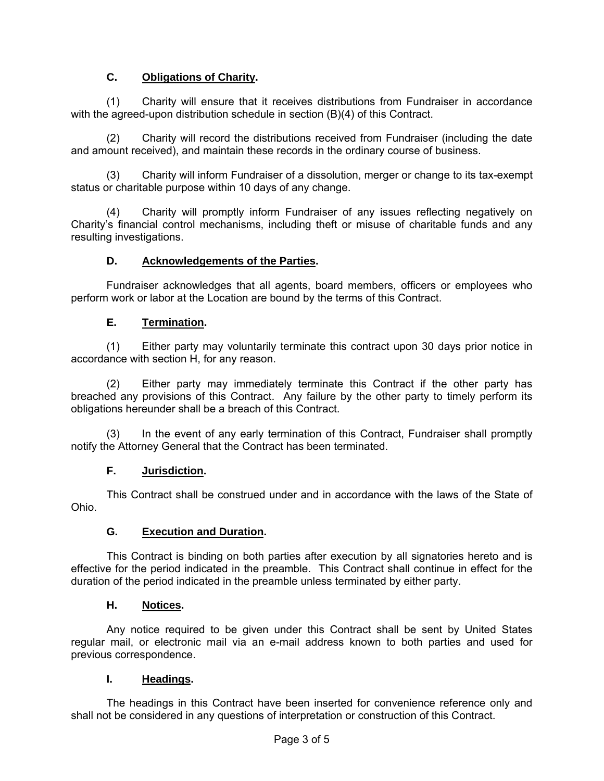# **C. Obligations of Charity.**

(1) Charity will ensure that it receives distributions from Fundraiser in accordance with the agreed-upon distribution schedule in section (B)(4) of this Contract.

(2) Charity will record the distributions received from Fundraiser (including the date and amount received), and maintain these records in the ordinary course of business.

(3) Charity will inform Fundraiser of a dissolution, merger or change to its tax-exempt status or charitable purpose within 10 days of any change.

(4) Charity will promptly inform Fundraiser of any issues reflecting negatively on Charity's financial control mechanisms, including theft or misuse of charitable funds and any resulting investigations.

### **D. Acknowledgements of the Parties.**

Fundraiser acknowledges that all agents, board members, officers or employees who perform work or labor at the Location are bound by the terms of this Contract.

### **E. Termination.**

(1) Either party may voluntarily terminate this contract upon 30 days prior notice in accordance with section H, for any reason.

(2) Either party may immediately terminate this Contract if the other party has breached any provisions of this Contract. Any failure by the other party to timely perform its obligations hereunder shall be a breach of this Contract.

In the event of any early termination of this Contract, Fundraiser shall promptly notify the Attorney General that the Contract has been terminated.

#### **F. Jurisdiction.**

This Contract shall be construed under and in accordance with the laws of the State of Ohio.

#### **G. Execution and Duration.**

This Contract is binding on both parties after execution by all signatories hereto and is effective for the period indicated in the preamble. This Contract shall continue in effect for the duration of the period indicated in the preamble unless terminated by either party.

#### **H. Notices.**

Any notice required to be given under this Contract shall be sent by United States regular mail, or electronic mail via an e-mail address known to both parties and used for previous correspondence.

#### **I. Headings.**

The headings in this Contract have been inserted for convenience reference only and shall not be considered in any questions of interpretation or construction of this Contract.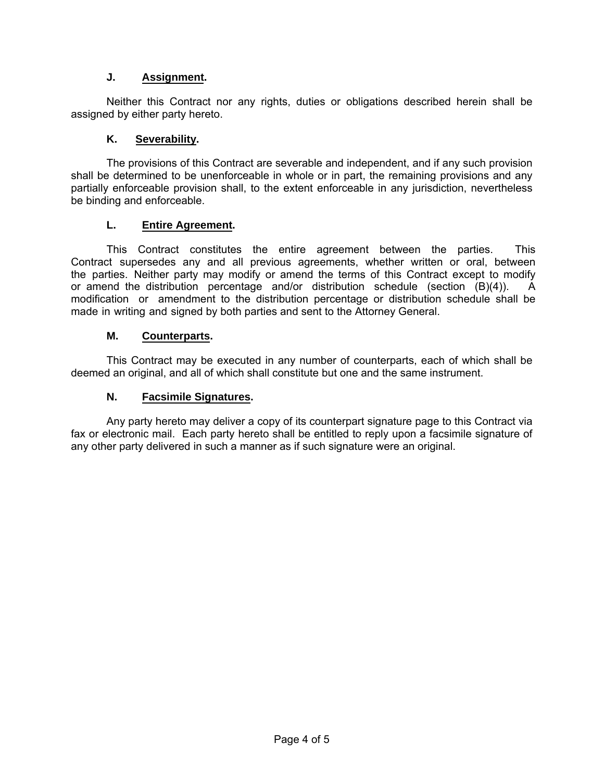# **J. Assignment.**

Neither this Contract nor any rights, duties or obligations described herein shall be assigned by either party hereto.

### **K. Severability.**

The provisions of this Contract are severable and independent, and if any such provision shall be determined to be unenforceable in whole or in part, the remaining provisions and any partially enforceable provision shall, to the extent enforceable in any jurisdiction, nevertheless be binding and enforceable.

#### **L. Entire Agreement.**

This Contract constitutes the entire agreement between the parties. This Contract supersedes any and all previous agreements, whether written or oral, between the parties. Neither party may modify or amend the terms of this Contract except to modify or amend the distribution percentage and/or distribution schedule (section (B)(4)). A modification or amendment to the distribution percentage or distribution schedule shall be made in writing and signed by both parties and sent to the Attorney General.

#### **M. Counterparts.**

This Contract may be executed in any number of counterparts, each of which shall be deemed an original, and all of which shall constitute but one and the same instrument.

#### **N. Facsimile Signatures.**

Any party hereto may deliver a copy of its counterpart signature page to this Contract via fax or electronic mail. Each party hereto shall be entitled to reply upon a facsimile signature of any other party delivered in such a manner as if such signature were an original.